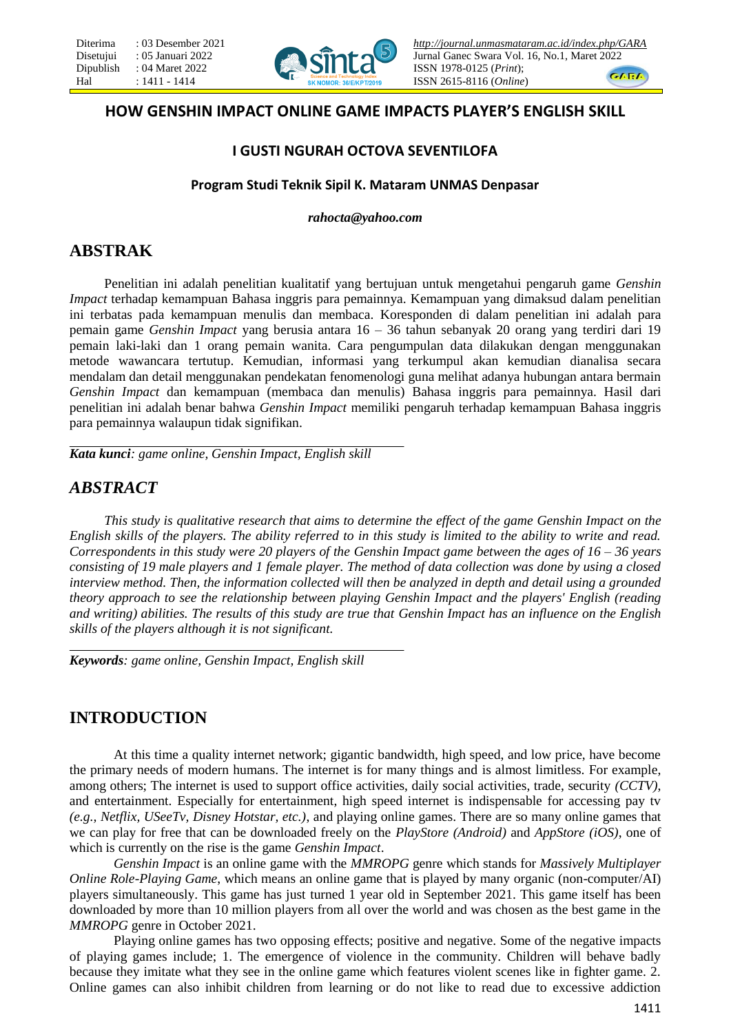

*<http://journal.unmasmataram.ac.id/index.php/GARA>* Jurnal Ganec Swara Vol. 16, No.1, Maret 2022 ISSN 1978-0125 (*Print*); GARA ISSN 2615-8116 (*Online*)

## **HOW GENSHIN IMPACT ONLINE GAME IMPACTS PLAYER'S ENGLISH SKILL**

### **I GUSTI NGURAH OCTOVA SEVENTILOFA**

### **Program Studi Teknik Sipil K. Mataram UNMAS Denpasar**

*rahocta@yahoo.com*

# **ABSTRAK**

Penelitian ini adalah penelitian kualitatif yang bertujuan untuk mengetahui pengaruh game *Genshin Impact* terhadap kemampuan Bahasa inggris para pemainnya. Kemampuan yang dimaksud dalam penelitian ini terbatas pada kemampuan menulis dan membaca. Koresponden di dalam penelitian ini adalah para pemain game *Genshin Impact* yang berusia antara 16 – 36 tahun sebanyak 20 orang yang terdiri dari 19 pemain laki-laki dan 1 orang pemain wanita. Cara pengumpulan data dilakukan dengan menggunakan metode wawancara tertutup. Kemudian, informasi yang terkumpul akan kemudian dianalisa secara mendalam dan detail menggunakan pendekatan fenomenologi guna melihat adanya hubungan antara bermain *Genshin Impact* dan kemampuan (membaca dan menulis) Bahasa inggris para pemainnya. Hasil dari penelitian ini adalah benar bahwa *Genshin Impact* memiliki pengaruh terhadap kemampuan Bahasa inggris para pemainnya walaupun tidak signifikan.

*Kata kunci: game online, Genshin Impact, English skill*

## *ABSTRACT*

*This study is qualitative research that aims to determine the effect of the game Genshin Impact on the English skills of the players. The ability referred to in this study is limited to the ability to write and read. Correspondents in this study were 20 players of the Genshin Impact game between the ages of 16 – 36 years consisting of 19 male players and 1 female player. The method of data collection was done by using a closed interview method. Then, the information collected will then be analyzed in depth and detail using a grounded theory approach to see the relationship between playing Genshin Impact and the players' English (reading and writing) abilities. The results of this study are true that Genshin Impact has an influence on the English skills of the players although it is not significant.*

*Keywords: game online, Genshin Impact, English skill*

# **INTRODUCTION**

At this time a quality internet network; gigantic bandwidth, high speed, and low price, have become the primary needs of modern humans. The internet is for many things and is almost limitless. For example, among others; The internet is used to support office activities, daily social activities, trade, security *(CCTV)*, and entertainment. Especially for entertainment, high speed internet is indispensable for accessing pay tv *(e.g., Netflix, USeeTv, Disney Hotstar, etc.)*, and playing online games. There are so many online games that we can play for free that can be downloaded freely on the *PlayStore (Android)* and *AppStore (iOS)*, one of which is currently on the rise is the game *Genshin Impact*.

*Genshin Impact* is an online game with the *MMROPG* genre which stands for *Massively Multiplayer Online Role-Playing Game*, which means an online game that is played by many organic (non-computer/AI) players simultaneously. This game has just turned 1 year old in September 2021. This game itself has been downloaded by more than 10 million players from all over the world and was chosen as the best game in the *MMROPG* genre in October 2021.

Playing online games has two opposing effects; positive and negative. Some of the negative impacts of playing games include; 1. The emergence of violence in the community. Children will behave badly because they imitate what they see in the online game which features violent scenes like in fighter game. 2. Online games can also inhibit children from learning or do not like to read due to excessive addiction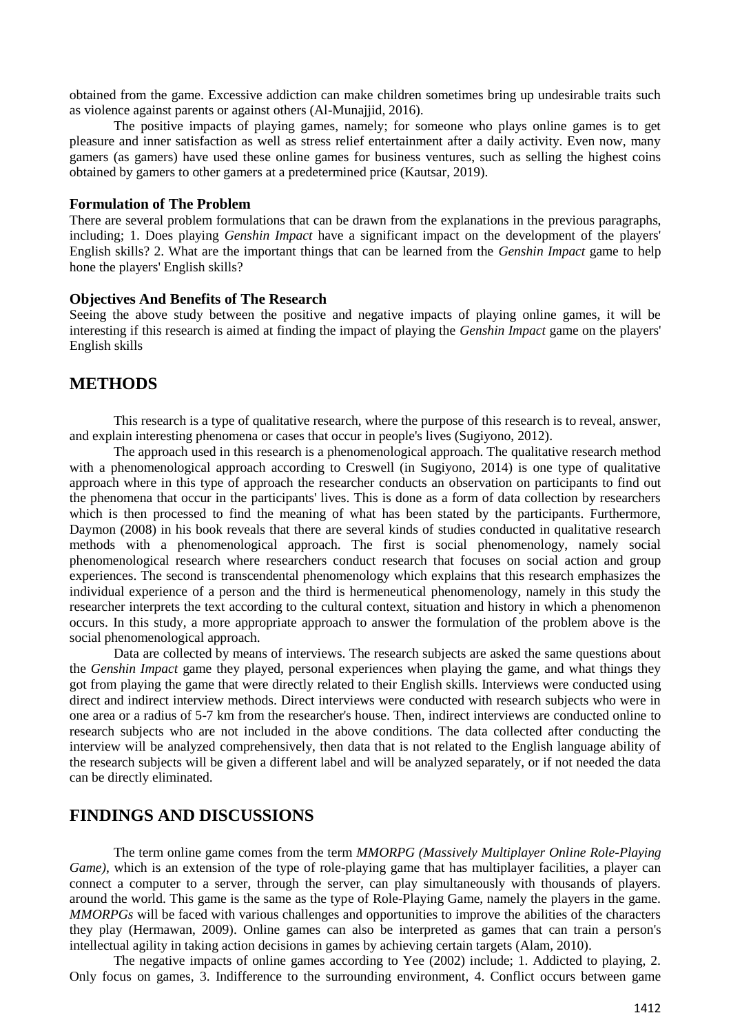obtained from the game. Excessive addiction can make children sometimes bring up undesirable traits such as violence against parents or against others (Al-Munajjid, 2016).

The positive impacts of playing games, namely; for someone who plays online games is to get pleasure and inner satisfaction as well as stress relief entertainment after a daily activity. Even now, many gamers (as gamers) have used these online games for business ventures, such as selling the highest coins obtained by gamers to other gamers at a predetermined price (Kautsar, 2019).

### **Formulation of The Problem**

There are several problem formulations that can be drawn from the explanations in the previous paragraphs, including; 1. Does playing *Genshin Impact* have a significant impact on the development of the players' English skills? 2. What are the important things that can be learned from the *Genshin Impact* game to help hone the players' English skills?

#### **Objectives And Benefits of The Research**

Seeing the above study between the positive and negative impacts of playing online games, it will be interesting if this research is aimed at finding the impact of playing the *Genshin Impact* game on the players' English skills

## **METHODS**

This research is a type of qualitative research, where the purpose of this research is to reveal, answer, and explain interesting phenomena or cases that occur in people's lives (Sugiyono, 2012).

The approach used in this research is a phenomenological approach. The qualitative research method with a phenomenological approach according to Creswell (in Sugiyono, 2014) is one type of qualitative approach where in this type of approach the researcher conducts an observation on participants to find out the phenomena that occur in the participants' lives. This is done as a form of data collection by researchers which is then processed to find the meaning of what has been stated by the participants. Furthermore, Daymon (2008) in his book reveals that there are several kinds of studies conducted in qualitative research methods with a phenomenological approach. The first is social phenomenology, namely social phenomenological research where researchers conduct research that focuses on social action and group experiences. The second is transcendental phenomenology which explains that this research emphasizes the individual experience of a person and the third is hermeneutical phenomenology, namely in this study the researcher interprets the text according to the cultural context, situation and history in which a phenomenon occurs. In this study, a more appropriate approach to answer the formulation of the problem above is the social phenomenological approach.

Data are collected by means of interviews. The research subjects are asked the same questions about the *Genshin Impact* game they played, personal experiences when playing the game, and what things they got from playing the game that were directly related to their English skills. Interviews were conducted using direct and indirect interview methods. Direct interviews were conducted with research subjects who were in one area or a radius of 5-7 km from the researcher's house. Then, indirect interviews are conducted online to research subjects who are not included in the above conditions. The data collected after conducting the interview will be analyzed comprehensively, then data that is not related to the English language ability of the research subjects will be given a different label and will be analyzed separately, or if not needed the data can be directly eliminated.

## **FINDINGS AND DISCUSSIONS**

The term online game comes from the term *MMORPG (Massively Multiplayer Online Role-Playing Game*), which is an extension of the type of role-playing game that has multiplayer facilities, a player can connect a computer to a server, through the server, can play simultaneously with thousands of players. around the world. This game is the same as the type of Role-Playing Game, namely the players in the game. *MMORPGs* will be faced with various challenges and opportunities to improve the abilities of the characters they play (Hermawan, 2009). Online games can also be interpreted as games that can train a person's intellectual agility in taking action decisions in games by achieving certain targets (Alam, 2010).

The negative impacts of online games according to Yee (2002) include; 1. Addicted to playing, 2. Only focus on games, 3. Indifference to the surrounding environment, 4. Conflict occurs between game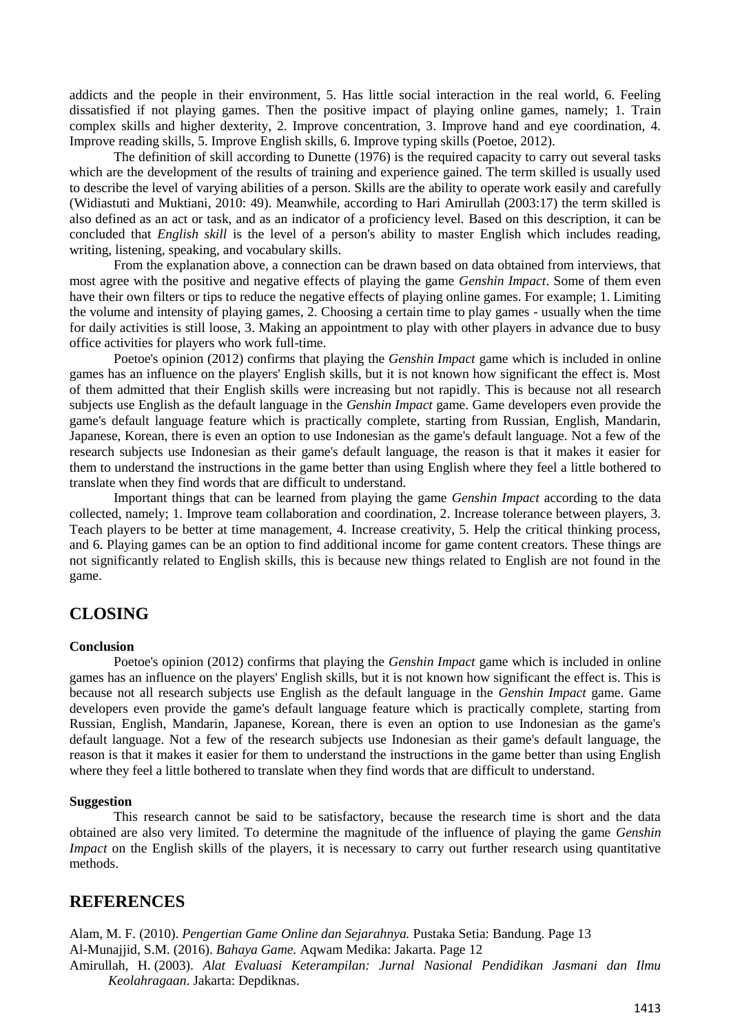addicts and the people in their environment, 5. Has little social interaction in the real world, 6. Feeling dissatisfied if not playing games. Then the positive impact of playing online games, namely; 1. Train complex skills and higher dexterity, 2. Improve concentration, 3. Improve hand and eye coordination, 4. Improve reading skills, 5. Improve English skills, 6. Improve typing skills (Poetoe, 2012).

The definition of skill according to Dunette (1976) is the required capacity to carry out several tasks which are the development of the results of training and experience gained. The term skilled is usually used to describe the level of varying abilities of a person. Skills are the ability to operate work easily and carefully (Widiastuti and Muktiani, 2010: 49). Meanwhile, according to Hari Amirullah (2003:17) the term skilled is also defined as an act or task, and as an indicator of a proficiency level. Based on this description, it can be concluded that *English skill* is the level of a person's ability to master English which includes reading, writing, listening, speaking, and vocabulary skills.

From the explanation above, a connection can be drawn based on data obtained from interviews, that most agree with the positive and negative effects of playing the game *Genshin Impact*. Some of them even have their own filters or tips to reduce the negative effects of playing online games. For example; 1. Limiting the volume and intensity of playing games, 2. Choosing a certain time to play games - usually when the time for daily activities is still loose, 3. Making an appointment to play with other players in advance due to busy office activities for players who work full-time.

Poetoe's opinion (2012) confirms that playing the *Genshin Impact* game which is included in online games has an influence on the players' English skills, but it is not known how significant the effect is. Most of them admitted that their English skills were increasing but not rapidly. This is because not all research subjects use English as the default language in the *Genshin Impact* game. Game developers even provide the game's default language feature which is practically complete, starting from Russian, English, Mandarin, Japanese, Korean, there is even an option to use Indonesian as the game's default language. Not a few of the research subjects use Indonesian as their game's default language, the reason is that it makes it easier for them to understand the instructions in the game better than using English where they feel a little bothered to translate when they find words that are difficult to understand.

Important things that can be learned from playing the game *Genshin Impact* according to the data collected, namely; 1. Improve team collaboration and coordination, 2. Increase tolerance between players, 3. Teach players to be better at time management, 4. Increase creativity, 5. Help the critical thinking process, and 6. Playing games can be an option to find additional income for game content creators. These things are not significantly related to English skills, this is because new things related to English are not found in the game.

## **CLOSING**

### **Conclusion**

Poetoe's opinion (2012) confirms that playing the *Genshin Impact* game which is included in online games has an influence on the players' English skills, but it is not known how significant the effect is. This is because not all research subjects use English as the default language in the *Genshin Impact* game. Game developers even provide the game's default language feature which is practically complete, starting from Russian, English, Mandarin, Japanese, Korean, there is even an option to use Indonesian as the game's default language. Not a few of the research subjects use Indonesian as their game's default language, the reason is that it makes it easier for them to understand the instructions in the game better than using English where they feel a little bothered to translate when they find words that are difficult to understand.

#### **Suggestion**

This research cannot be said to be satisfactory, because the research time is short and the data obtained are also very limited. To determine the magnitude of the influence of playing the game *Genshin Impact* on the English skills of the players, it is necessary to carry out further research using quantitative methods.

### **REFERENCES**

Alam, M. F. (2010). *Pengertian Game Online dan Sejarahnya.* Pustaka Setia: Bandung. Page 13 Al-Munajjid, S.M. (2016). *Bahaya Game.* Aqwam Medika: Jakarta. Page 12 Amirullah, H. (2003). *Alat Evaluasi Keterampilan: Jurnal Nasional Pendidikan Jasmani dan Ilmu Keolahragaan*. Jakarta: Depdiknas.